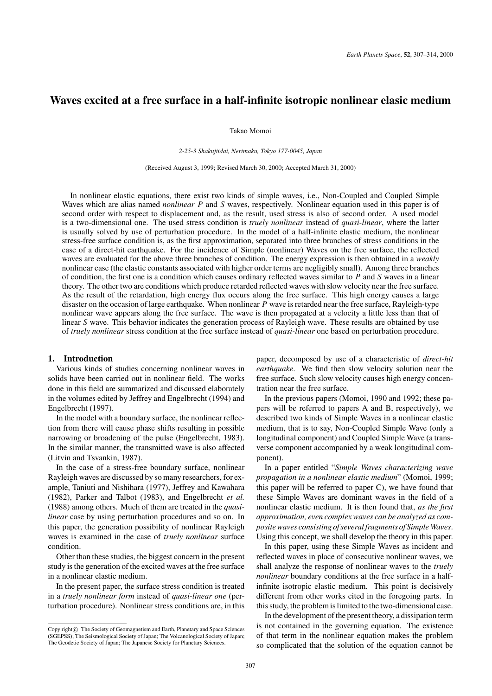# **Waves excited at a free surface in a half-infinite isotropic nonlinear elasic medium**

Takao Momoi

*2-25-3 Shakujiidai, Nerimaku, Tokyo 177-0045, Japan*

(Received August 3, 1999; Revised March 30, 2000; Accepted March 31, 2000)

In nonlinear elastic equations, there exist two kinds of simple waves, i.e., Non-Coupled and Coupled Simple Waves which are alias named *nonlinear P* and *S* waves, respectively. Nonlinear equation used in this paper is of second order with respect to displacement and, as the result, used stress is also of second order. A used model is a two-dimensional one. The used stress condition is *truely nonlinear* instead of *quasi-linear*, where the latter is usually solved by use of perturbation procedure. In the model of a half-infinite elastic medium, the nonlinear stress-free surface condition is, as the first approximation, separated into three branches of stress conditions in the case of a direct-hit earthquake. For the incidence of Simple (nonlinear) Waves on the free surface, the reflected waves are evaluated for the above three branches of condition. The energy expression is then obtained in a *weakly* nonlinear case (the elastic constants associated with higher order terms are negligibly small). Among three branches of condition, the first one is a condition which causes ordinary reflected waves similar to *P* and *S* waves in a linear theory. The other two are conditions which produce retarded reflected waves with slow velocity near the free surface. As the result of the retardation, high energy flux occurs along the free surface. This high energy causes a large disaster on the occasion of large earthquake. When nonlinear *P* wave is retarded near the free surface, Rayleigh-type nonlinear wave appears along the free surface. The wave is then propagated at a velocity a little less than that of linear *S* wave. This behavior indicates the generation process of Rayleigh wave. These results are obtained by use of *truely nonlinear* stress condition at the free surface instead of *quasi-linear* one based on perturbation procedure.

## **1. Introduction**

Various kinds of studies concerning nonlinear waves in solids have been carried out in nonlinear field. The works done in this field are summarized and discussed elaborately in the volumes edited by Jeffrey and Engelbrecht (1994) and Engelbrecht (1997).

In the model with a boundary surface, the nonlinear reflection from there will cause phase shifts resulting in possible narrowing or broadening of the pulse (Engelbrecht, 1983). In the similar manner, the transmitted wave is also affected (Litvin and Tsvankin, 1987).

In the case of a stress-free boundary surface, nonlinear Rayleigh waves are discussed by so many researchers, for example, Taniuti and Nishihara (1977), Jeffrey and Kawahara (1982), Parker and Talbot (1983), and Engelbrecht *et al.* (1988) among others. Much of them are treated in the *quasilinear* case by using perturbation procedures and so on. In this paper, the generation possibility of nonlinear Rayleigh waves is examined in the case of *truely nonlinear* surface condition.

Other than these studies, the biggest concern in the present study is the generation of the excited waves at the free surface in a nonlinear elastic medium.

In the present paper, the surface stress condition is treated in a *truely nonlinear form* instead of *quasi-linear one* (perturbation procedure). Nonlinear stress conditions are, in this paper, decomposed by use of a characteristic of *direct-hit earthquake*. We find then slow velocity solution near the free surface. Such slow velocity causes high energy concentration near the free surface.

In the previous papers (Momoi, 1990 and 1992; these papers will be referred to papers A and B, respectively), we described two kinds of Simple Waves in a nonlinear elastic medium, that is to say, Non-Coupled Simple Wave (only a longitudinal component) and Coupled Simple Wave (a transverse component accompanied by a weak longitudinal component).

In a paper entitled "*Simple Waves characterizing wave propagation in a nonlinear elastic medium*" (Momoi, 1999; this paper will be referred to paper C), we have found that these Simple Waves are dominant waves in the field of a nonlinear elastic medium. It is then found that, *as the first approximation, even complex waves can be analyzed as composite waves consisting of several fragments of Simple Waves*. Using this concept, we shall develop the theory in this paper.

In this paper, using these Simple Waves as incident and reflected waves in place of consecutive nonlinear waves, we shall analyze the response of nonlinear waves to the *truely nonlinear* boundary conditions at the free surface in a halfinfinite isotropic elastic medium. This point is decisively different from other works cited in the foregoing parts. In this study, the problem is limited to the two-dimensional case.

In the development of the present theory, a dissipation term is not contained in the governing equation. The existence of that term in the nonlinear equation makes the problem so complicated that the solution of the equation cannot be

Copy right $\odot$  The Society of Geomagnetism and Earth, Planetary and Space Sciences (SGEPSS); The Seismological Society of Japan; The Volcanological Society of Japan; The Geodetic Society of Japan; The Japanese Society for Planetary Sciences.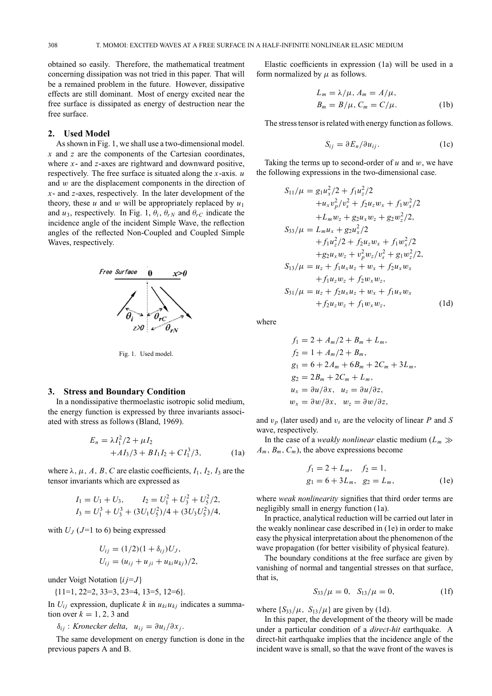obtained so easily. Therefore, the mathematical treatment concerning dissipation was not tried in this paper. That will be a remained problem in the future. However, dissipative effects are still dominant. Most of energy excited near the free surface is dissipated as energy of destruction near the free surface.

## **2. Used Model**

As shown in Fig. 1, we shall use a two-dimensional model. *x* and *z* are the components of the Cartesian coordinates, where *x*- and *z*-axes are rightward and downward positive, respectively. The free surface is situated along the *x*-axis. *u* and w are the displacement components in the direction of *x*- and *z*-axes, respectively. In the later development of the theory, these  $u$  and  $w$  will be appropriately replaced by  $u_1$ and  $u_3$ , respectively. In Fig. 1,  $\theta_i$ ,  $\theta_{rN}$  and  $\theta_{rC}$  indicate the incidence angle of the incident Simple Wave, the reflection angles of the reflected Non-Coupled and Coupled Simple Waves, respectively.



Fig. 1. Used model.

#### **3. Stress and Boundary Condition**

In a nondissipative thermoelastic isotropic solid medium, the energy function is expressed by three invariants associated with stress as follows (Bland, 1969).

$$
E_n = \lambda I_1^2 / 2 + \mu I_2
$$
  
+  $AI_3 / 3 + B I_1 I_2 + C I_1^3 / 3,$  (1a)

where  $\lambda$ ,  $\mu$ ,  $A$ ,  $B$ ,  $C$  are elastic coefficients,  $I_1$ ,  $I_2$ ,  $I_3$  are the tensor invariants which are expressed as

$$
I_1 = U_1 + U_3, \qquad I_2 = U_1^2 + U_3^2 + U_5^2 / 2,
$$
  
\n
$$
I_3 = U_1^3 + U_3^3 + (3U_1U_5^2) / 4 + (3U_3U_5^2) / 4,
$$

with  $U_J$  ( $J=1$  to 6) being expressed

$$
U_{ij} = (1/2)(1 + \delta_{ij})U_J,
$$
  
\n
$$
U_{ij} = (u_{ij} + u_{ji} + u_{ki}u_{kj})/2,
$$

under Voigt Notation {*i j*=*J* }

$$
\{11=1, 22=2, 33=3, 23=4, 13=5, 12=6\}.
$$

In  $U_{ii}$  expression, duplicate *k* in  $u_{ki}u_{ki}$  indicates a summation over  $k = 1, 2, 3$  and

 $\delta_{ij}$  : *Kronecker delta*,  $u_{ij} = \partial u_i / \partial x_j$ .

The same development on energy function is done in the previous papers A and B.

Elastic coefficients in expression (1a) will be used in a form normalized by  $\mu$  as follows.

$$
L_m = \lambda/\mu, A_m = A/\mu,
$$
  
\n
$$
B_m = B/\mu, C_m = C/\mu.
$$
 (1b)

The stress tensor is related with energy function as follows.

$$
S_{ij} = \partial E_n / \partial u_{ij}.
$$
 (1c)

Taking the terms up to second-order of *u* and w, we have the following expressions in the two-dimensional case.

$$
S_{11}/\mu = g_1 u_x^2/2 + f_1 u_z^2/2
$$
  
+ $u_x v_p^2/v_s^2 + f_2 u_z w_x + f_1 w_x^2/2$   
+ $L_m w_z + g_2 u_x w_z + g_2 w_z^2/2$ ,  
 $S_{33}/\mu = L_m u_x + g_2 u_x^2/2$   
+ $f_1 u_z^2/2 + f_2 u_z w_x + f_1 w_x^2/2$   
+ $g_2 u_x w_z + v_p^2 w_z/v_s^2 + g_1 w_z^2/2$ ,  
 $S_{13}/\mu = u_z + f_1 u_x u_z + w_x + f_2 u_x w_x$   
+ $f_1 u_z w_z + f_2 w_x w_z$ ,  
 $S_{31}/\mu = u_z + f_2 u_x u_z + w_x + f_1 u_x w_x$   
+ $f_2 u_z w_z + f_1 w_x w_z$ , (1d)

where

$$
f_1 = 2 + A_m/2 + B_m + L_m,
$$
  
\n
$$
f_2 = 1 + A_m/2 + B_m,
$$
  
\n
$$
g_1 = 6 + 2A_m + 6B_m + 2C_m + 3L_m,
$$
  
\n
$$
g_2 = 2B_m + 2C_m + L_m,
$$
  
\n
$$
u_x = \frac{\partial u}{\partial x}, \quad u_z = \frac{\partial u}{\partial z},
$$
  
\n
$$
w_x = \frac{\partial w}{\partial x}, \quad w_z = \frac{\partial w}{\partial z},
$$

and v*<sup>p</sup>* (later used) and v*<sup>s</sup>* are the velocity of linear *P* and *S* wave, respectively.

In the case of a *weakly nonlinear* elastic medium ( $L_m \gg$  $A_m$ ,  $B_m$ ,  $C_m$ ), the above expressions become

$$
f_1 = 2 + L_m, \quad f_2 = 1,
$$
  
\n
$$
g_1 = 6 + 3L_m, \quad g_2 = L_m,
$$
 (1e)

where *weak nonlinearity* signifies that third order terms are negligibly small in energy function (1a).

In practice, analytical reduction will be carried out later in the weakly nonlinear case described in (1e) in order to make easy the physical interpretation about the phenomenon of the wave propagation (for better visibility of physical feature).

The boundary conditions at the free surface are given by vanishing of normal and tangential stresses on that surface, that is,

$$
S_{33}/\mu = 0, \quad S_{13}/\mu = 0,\tag{1f}
$$

where  $\{S_{33}/\mu$ ,  $S_{13}/\mu\}$  are given by (1d).

In this paper, the development of the theory will be made under a particular condition of a *direct-hit* earthquake. A direct-hit earthquake implies that the incidence angle of the incident wave is small, so that the wave front of the waves is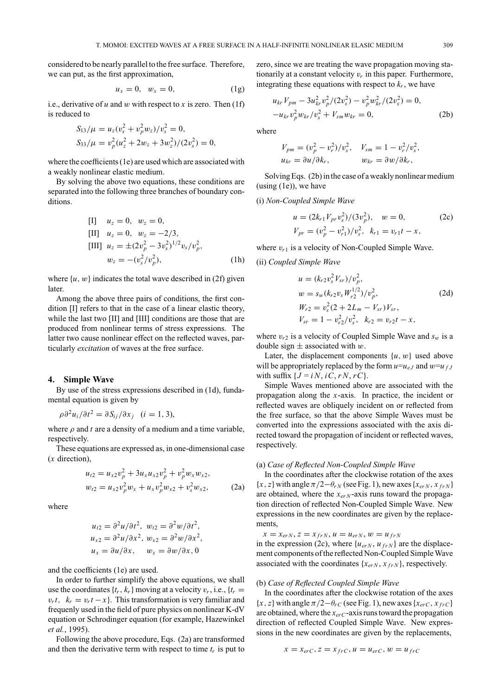considered to be nearly parallel to the free surface. Therefore, we can put, as the first approximation,

$$
u_x = 0, \quad w_x = 0,\tag{1g}
$$

i.e., derivative of  $u$  and  $w$  with respect to  $x$  is zero. Then (1f) is reduced to

$$
S_{13}/\mu = u_z (v_s^2 + v_p^2 w_z)/v_s^2 = 0,
$$
  
\n
$$
S_{33}/\mu = v_p^2 (u_z^2 + 2w_z + 3w_z^2)/(2v_s^2) = 0,
$$

where the coefficients (1e) are used which are associated with a weakly nonlinear elastic medium.

By solving the above two equations, these conditions are separated into the following three branches of boundary conditions.

$$
\begin{aligned}\n\text{[I]} \quad & u_z = 0, \quad w_z = 0, \\
\text{[II]} \quad & u_z = 0, \quad w_z = -2/3, \\
\text{[III]} \quad & u_z = \pm (2v_p^2 - 3v_s^2)^{1/2} v_s / v_p^2, \\
& w_z = -(v_s^2 / v_p^2),\n\end{aligned}\n\tag{1h}
$$

where  $\{u, w\}$  indicates the total wave described in (2f) given later.

Among the above three pairs of conditions, the first condition [I] refers to that in the case of a linear elastic theory, while the last two [II] and [III] conditions are those that are produced from nonlinear terms of stress expressions. The latter two cause nonlinear effect on the reflected waves, particularly *excitation* of waves at the free surface.

### **4. Simple Wave**

By use of the stress expressions described in (1d), fundamental equation is given by

$$
\rho \partial^2 u_i / \partial t^2 = \partial S_{ij} / \partial x_j \quad (i = 1, 3),
$$

where  $\rho$  and  $t$  are a density of a medium and a time variable, respectively.

These equations are expressed as, in one-dimensional case (*x* direction),

$$
u_{t2} = u_{x2}v_p^2 + 3u_xu_{x2}v_p^2 + v_p^2w_xw_{x2},
$$
  
\n
$$
w_{t2} = u_{x2}v_p^2w_x + u_xv_p^2w_{x2} + v_s^2w_{x2},
$$
\n(2a)

where

$$
u_{t2} = \frac{\partial^2 u}{\partial t^2}, \quad w_{t2} = \frac{\partial^2 w}{\partial t^2},
$$
  
\n
$$
u_{x2} = \frac{\partial^2 u}{\partial x^2}, \quad w_{x2} = \frac{\partial^2 w}{\partial x^2},
$$
  
\n
$$
u_x = \frac{\partial u}{\partial x}, \quad w_x = \frac{\partial w}{\partial x}, 0
$$

and the coefficients (1e) are used.

In order to further simplify the above equations, we shall use the coordinates  $\{t_r, k_r\}$  moving at a velocity  $v_r$ , i.e.,  $\{t_r =$  $v_r t$ ,  $k_r = v_r t - x$ . This transformation is very familiar and frequenly used in the field of pure physics on nonlinear K-dV equation or Schrodinger equation (for example, Hazewinkel *et al.*, 1995).

Following the above procedure, Eqs. (2a) are transformed and then the derivative term with respect to time  $t_r$  is put to zero, since we are treating the wave propagation moving stationarily at a constant velocity v*<sup>r</sup>* in this paper. Furthermore, integrating these equations with respect to  $k_r$ , we have

$$
u_{kr} V_{pm} - 3u_{kr}^2 v_p^2/(2v_s^2) - v_p^2 w_{kr}^2/(2v_s^2) = 0,
$$
  
-u\_{kr} v\_p^2 w\_{kr}/v\_s^2 + V\_{sm} w\_{kr} = 0, (2b)

where

$$
V_{pm} = (v_p^2 - v_r^2)/v_s^2, \quad V_{sm} = 1 - v_r^2/v_s^2,
$$
  

$$
u_{kr} = \partial u/\partial k_r, \qquad w_{kr} = \partial w/\partial k_r,
$$

Solving Eqs. (2b) in the case of a weakly nonlinear medium (using (1e)), we have

(i) *Non-Coupled Simple Wave*

$$
u = (2k_{r1}V_{pr}v_s^2)/(3v_p^2), \quad w = 0,
$$
 (2c)  

$$
V_{pr} = (v_p^2 - v_{r1}^2)/v_s^2, \quad k_{r1} = v_{r1}t - x,
$$

where  $v_{r1}$  is a velocity of Non-Coupled Simple Wave.

(ii) *Coupled Simple Wave*

$$
u = (k_{r2}v_s^2 V_{sr})/v_p^2,
$$
  
\n
$$
w = s_w (k_{r2}v_s W_{r2}^{1/2})/v_p^2,
$$
  
\n
$$
W_{r2} = v_s^2 (2 + 2L_m - V_{sr})V_{sr},
$$
  
\n
$$
V_{sr} = 1 - v_{r2}^2/v_s^2, \quad k_{r2} = v_{r2}t - x,
$$
\n(2d)

where  $v_{r2}$  is a velocity of Coupled Simple Wave and  $s_w$  is a double sign  $\pm$  associated with w.

Later, the displacement components  $\{u, w\}$  used above will be appropriately replaced by the form  $u = u_{eJ}$  and  $w = u_{fJ}$ with suffix  ${J = iN, iC, rN, rC}.$ 

Simple Waves mentioned above are associated with the propagation along the *x*-axis. In practice, the incident or reflected waves are obliquely incident on or reflected from the free surface, so that the above Simple Waves must be converted into the expressions associated with the axis directed toward the propagation of incident or reflected waves, respectively.

## (a) *Case of Reflected Non-Coupled Simple Wave*

In the coordinates after the clockwise rotation of the axes  ${x, z}$  with angle  $\pi/2-\theta_{rN}$  (see Fig. 1), new axes  ${x_{erN}, x_{frN}}$ are obtained, where the  $x_{er,N}$ -axis runs toward the propagation direction of reflected Non-Coupled Simple Wave. New expressions in the new coordinates are given by the replacements,

 $x = x_{erN}, z = x_{frN}, u = u_{erN}, w = u_{frN}$ 

in the expression (2c), where  $\{u_{erN}, u_{frN}\}$  are the displacement components of the reflected Non-Coupled SimpleWave associated with the coordinates  $\{x_{erN}, x_{frN}\}$ , respectively.

#### (b) *Case of Reflected Coupled Simple Wave*

In the coordinates after the clockwise rotation of the axes  ${x, z}$  with angle  $\pi/2-\theta_{rC}$  (see Fig. 1), new axes  ${x_{erC}, x_{frC}}$ are obtained, where the *xerC*-axis runs toward the propagation direction of reflected Coupled Simple Wave. New expressions in the new coordinates are given by the replacements,

$$
x = x_{erC}, z = x_{frC}, u = u_{erC}, w = u_{frC}
$$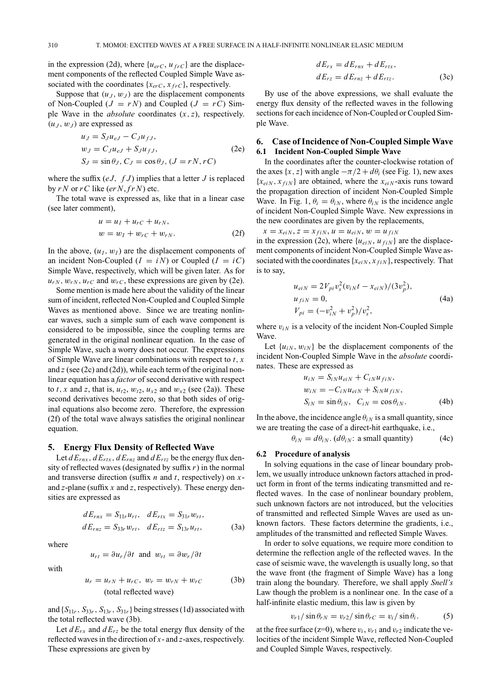in the expression (2d), where  $\{u_{erC}, u_{frC}\}$  are the displacement components of the reflected Coupled Simple Wave associated with the coordinates  $\{x_{erC}, x_{frC}\}$ , respectively.

Suppose that  $(u_J, w_J)$  are the displacement components of Non-Coupled ( $J = rN$ ) and Coupled ( $J = rC$ ) Simple Wave in the *absolute* coordinates (*x*,*z*), respectively.  $(u_J, w_J)$  are expressed as

$$
u_J = S_J u_{eJ} - C_J u_{fJ},
$$
  
\n
$$
w_J = C_J u_{eJ} + S_J u_{fJ},
$$
  
\n
$$
S_J = \sin \theta_J, C_J = \cos \theta_J, (J = rN, rC)
$$
\n(2e)

where the suffix  $(eJ, fJ)$  implies that a letter *J* is replaced by  $rN$  or  $rC$  like ( $er N, frN$ ) etc.

The total wave is expressed as, like that in a linear case (see later comment),

$$
u = u_I + u_{rC} + u_{rN},
$$
  
\n
$$
w = w_I + w_{rC} + w_{rN}.
$$
\n(2f)

In the above,  $(u_I, w_I)$  are the displacement components of an incident Non-Coupled  $(I = iN)$  or Coupled  $(I = iC)$ Simple Wave, respectively, which will be given later. As for  $u_{rN}$ ,  $w_{rN}$ ,  $u_{rC}$  and  $w_{rC}$ , these expressions are given by (2e).

Some mention is made here about the validity of the linear sum of incident, reflected Non-Coupled and Coupled Simple Waves as mentioned above. Since we are treating nonlinear waves, such a simple sum of each wave component is considered to be impossible, since the coupling terms are generated in the original nonlinear equation. In the case of Simple Wave, such a worry does not occur. The expressions of Simple Wave are linear combinations with respect to *t*, *x* and *z* (see (2c) and (2d)), while each term of the original nonlinear equation has a *factor* of second derivative with respect to *t*, *x* and *z*, that is,  $u_{t2}$ ,  $w_{t2}$ ,  $u_{x2}$  and  $w_{x2}$  (see (2a)). These second derivatives become zero, so that both sides of original equations also become zero. Therefore, the expression (2f) of the total wave always satisfies the original nonlinear equation.

## **5. Energy Flux Density of Reflected Wave**

Let  $dE_{rnx}$ ,  $dE_{rtx}$ ,  $dE_{rnz}$  and  $dE_{rtz}$  be the energy flux density of reflected waves (designated by suffix *r*) in the normal and transverse direction (suffix *n* and *t*, respectively) on *x*and *z*-plane (suffix *x* and *z*, respectively). These energy densities are expressed as

$$
dE_{rnx} = S_{11r}u_{rt}, \quad dE_{rtx} = S_{31r}w_{rt}, \ndE_{rrz} = S_{33r}w_{rt}, \quad dE_{rtz} = S_{13r}u_{rt},
$$
\n(3a)

where

$$
u_{rt} = \partial u_r / \partial t \text{ and } w_{rt} = \partial w_r / \partial t
$$

with

$$
u_r = u_{rN} + u_{rC}, \ w_r = w_{rN} + w_{rC}
$$
 (3b)  
(total reflected wave)

and  $\{S_{11r}, S_{33r}, S_{13r}, S_{31r}\}$  being stresses (1d) associated with the total reflected wave (3b).

Let  $dE_{rx}$  and  $dE_{rz}$  be the total energy flux density of the reflected waves in the direction of *x*- and *z*-axes, respectively. These expressions are given by

$$
dE_{rx} = dE_{rnx} + dE_{rtx},
$$
  
\n
$$
dE_{rz} = dE_{rnz} + dE_{rtz}.
$$
\n(3c)

By use of the above expressions, we shall evaluate the energy flux density of the reflected waves in the following sections for each incidence of Non-Coupled or Coupled Simple Wave.

## **6. Case of Incidence of Non-Coupled Simple Wave 6.1 Incident Non-Coupled Simple Wave**

In the coordinates after the counter-clockwise rotation of the axes  $\{x, z\}$  with angle  $-\pi/2 + d\theta_i$  (see Fig. 1), new axes  ${x_{eiN}, x_{fiN}}$  are obtained, where the  ${x_{eiN}}$ -axis runs toward the propagation direction of incident Non-Coupled Simple Wave. In Fig. 1,  $\theta_i = \theta_{iN}$ , where  $\theta_{iN}$  is the incidence angle of incident Non-Coupled Simple Wave. New expressions in the new coordinates are given by the replacements,

 $x = x_{eiN}, z = x_{fiN}, u = u_{eiN}, w = u_{fiN}$ 

in the expression (2c), where  $\{u_{eiN}, u_{fiN}\}$  are the displacement components of incident Non-Coupled Simple Wave associated with the coordinates  $\{x_{eiN}, x_{fiN}\}$ , respectively. That is to say,

$$
u_{eiN} = 2V_{pi}v_s^2(v_{iN}t - x_{eiN})/(3v_p^2),
$$
  
\n
$$
u_{fiN} = 0,
$$
  
\n
$$
V_{pi} = (-v_{iN}^2 + v_p^2)/v_s^2,
$$
\n(4a)

where  $v_{iN}$  is a velocity of the incident Non-Coupled Simple Wave.

Let  $\{u_{iN}, w_{iN}\}$  be the displacement components of the incident Non-Coupled Simple Wave in the *absolute* coordinates. These are expressed as

$$
u_{iN} = S_{iN}u_{eiN} + C_{iN}u_{fiN},
$$
  
\n
$$
w_{iN} = -C_{iN}u_{eiN} + S_{iN}u_{fiN},
$$
  
\n
$$
S_{iN} = \sin \theta_{iN}, \quad C_{iN} = \cos \theta_{iN}.
$$
  
\n(4b)

In the above, the incidence angle  $\theta_{iN}$  is a small quantity, since we are treating the case of a direct-hit earthquake, i.e.,

$$
\theta_{iN} = d\theta_{iN}. (d\theta_{iN}: \text{ a small quantity}) \tag{4c}
$$

#### **6.2 Procedure of analysis**

In solving equations in the case of linear boundary problem, we usually introduce unknown factors attached in product form in front of the terms indicating transmitted and reflected waves. In the case of nonlinear boundary problem, such unknown factors are not introduced, but the velocities of transmitted and reflected Simple Waves are used as unknown factors. These factors determine the gradients, i.e., amplitudes of the transmitted and reflected Simple Waves.

In order to solve equations, we require more condition to determine the reflection angle of the reflected waves. In the case of seismic wave, the wavelength is usually long, so that the wave front (the fragment of Simple Wave) has a long train along the boundary. Therefore, we shall apply *Snell's* Law though the problem is a nonlinear one. In the case of a half-infinite elastic medium, this law is given by

$$
v_{r1}/\sin\theta_{rN} = v_{r2}/\sin\theta_{rC} = v_i/\sin\theta_i. \tag{5}
$$

at the free surface ( $z=0$ ), where  $v_i$ ,  $v_{r1}$  and  $v_{r2}$  indicate the velocities of the incident Simple Wave, reflected Non-Coupled and Coupled Simple Waves, respectively.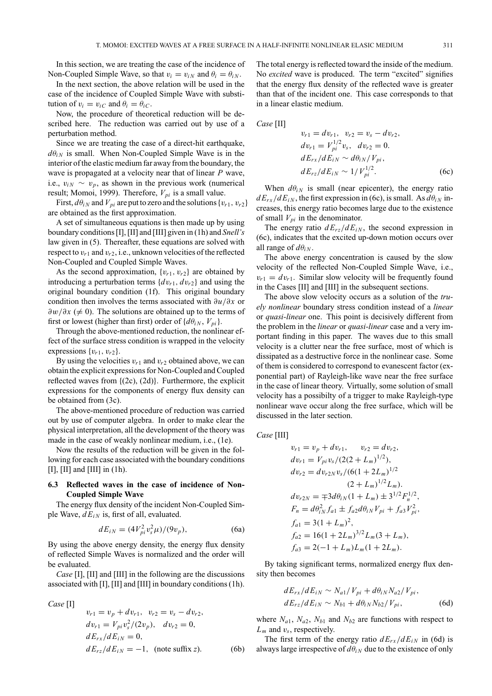In this section, we are treating the case of the incidence of Non-Coupled Simple Wave, so that  $v_i = v_{iN}$  and  $\theta_i = \theta_{iN}$ .

In the next section, the above relation will be used in the case of the incidence of Coupled Simple Wave with substitution of  $v_i = v_{iC}$  and  $\theta_i = \theta_{iC}$ .

Now, the procedure of theoretical reduction will be described here. The reduction was carried out by use of a perturbation method.

Since we are treating the case of a direct-hit earthquake,  $d\theta_{iN}$  is small. When Non-Coupled Simple Wave is in the interior of the elastic medium far away from the boundary, the wave is propagated at a velocity near that of linear *P* wave, i.e.,  $v_{iN} \sim v_p$ , as shown in the previous work (numerical result; Momoi, 1999). Therefore,  $V_{pi}$  is a small value.

First,  $d\theta_{iN}$  and  $V_{pi}$  are put to zero and the solutions { $v_{r1}$ ,  $v_{r2}$ } are obtained as the first approximation.

A set of simultaneous equations is then made up by using boundary conditions [I], [II] and [III] given in (1h) and *Snell's* law given in (5). Thereafter, these equations are solved with respect to  $v_{r1}$  and  $v_{r2}$ , i.e., unknown velocities of the reflected Non-Coupled and Coupled Simple Waves.

As the second approximation,  $\{v_{r1}, v_{r2}\}$  are obtained by introducing a perturbation terms  $\{dv_{r1}, dv_{r2}\}\$  and using the original boundary condition (1f). This original boundary condition then involves the terms associated with ∂*u*/∂*x* or ∂*w*/∂*x* (≠ 0). The solutions are obtained up to the terms of first or lowest (higher than first) order of  $\{d\theta_{iN}, V_{ni}\}$ .

Through the above-mentioned reduction, the nonlinear effect of the surface stress condition is wrapped in the velocity expressions  $\{v_{r1}, v_{r2}\}.$ 

By using the velocities  $v_{r1}$  and  $v_{r2}$  obtained above, we can obtain the explicit expressions for Non-Coupled and Coupled reflected waves from {(2c), (2d)}. Furthermore, the explicit expressions for the components of energy flux density can be obtained from (3c).

The above-mentioned procedure of reduction was carried out by use of computer algebra. In order to make clear the physical interpretation, all the development of the theory was made in the case of weakly nonlinear medium, i.e., (1e).

Now the results of the reduction will be given in the following for each case associated with the boundary conditions  $[I]$ ,  $[II]$  and  $[III]$  in  $(1h)$ .

## **6.3 Reflected waves in the case of incidence of Non-Coupled Simple Wave**

The energy flux density of the incident Non-Coupled Simple Wave,  $dE_{iN}$  is, first of all, evaluated.

$$
dE_{iN} = (4V_{pi}^2 v_s^2 \mu)/(9v_p),
$$
 (6a)

By using the above energy density, the energy flux density of reflected Simple Waves is normalized and the order will be evaluated.

*Case* [I], [II] and [III] in the following are the discussions associated with [I], [II] and [III] in boundary conditions (1h).

Case [I]  
\n
$$
v_{r1} = v_p + dv_{r1}, \quad v_{r2} = v_s - dv_{r2},
$$
\n
$$
dv_{r1} = V_{pi}v_s^2/(2v_p), \quad dv_{r2} = 0,
$$
\n
$$
dE_{rx}/dE_{iN} = 0,
$$
\n
$$
dE_{rz}/dE_{iN} = -1, \quad \text{(note suffix z).} \tag{6b}
$$

The total energy is reflected toward the inside of the medium. No *excited* wave is produced. The term "excited" signifies that the energy flux density of the reflected wave is greater than that of the incident one. This case corresponds to that in a linear elastic medium.

*Case* [II]

$$
v_{r1} = dv_{r1}, \quad v_{r2} = v_s - dv_{r2},
$$
  
\n
$$
dv_{r1} = V_{pi}^{1/2} v_s, \quad dv_{r2} = 0.
$$
  
\n
$$
dE_{rx}/dE_{iN} \sim d\theta_{iN}/V_{pi},
$$
  
\n
$$
dE_{rz}/dE_{iN} \sim 1/V_{pi}^{1/2}.
$$
 (6c)

When  $d\theta_{iN}$  is small (near epicenter), the energy ratio  $dE_{rx}/dE_{iN}$ , the first expression in (6c), is small. As  $d\theta_{iN}$  increases, this energy ratio becomes large due to the existence of small  $V_{pi}$  in the denominator.

The energy ratio  $dE_{rz}/dE_{iN}$ , the second expression in (6c), indicates that the excited up-down motion occurs over all range of  $d\theta_{iN}$ .

The above energy concentration is caused by the slow velocity of the reflected Non-Coupled Simple Wave, i.e.,  $v_{r1} = dv_{r1}$ . Similar slow velocity will be frequently found in the Cases [II] and [III] in the subsequent sections.

The above slow velocity occurs as a solution of the *truely nonlinear* boundary stress condition instead of a *linear* or *quasi-linear* one. This point is decisively different from the problem in the *linear* or *quasi-linear* case and a very important finding in this paper. The waves due to this small velocity is a clutter near the free surface, most of which is dissipated as a destructive force in the nonlinear case. Some of them is considered to correspond to evanescent factor (exponential part) of Rayleigh-like wave near the free surface in the case of linear theory. Virtually, some solution of small velocity has a possibilty of a trigger to make Rayleigh-type nonlinear wave occur along the free surface, which will be discussed in the later section.

*Case* [III]

$$
v_{r1} = v_p + dv_{r1}, \t v_{r2} = dv_{r2},
$$
  
\n
$$
dv_{r1} = V_{pi}v_s/(2(2 + L_m)^{1/2}),
$$
  
\n
$$
dv_{r2} = dv_{r2N}v_s/(6(1 + 2L_m)^{1/2})
$$
  
\n
$$
(2 + L_m)^{1/2}L_m).
$$
  
\n
$$
dv_{r2N} = \pm 3d\theta_{iN}(1 + L_m) \pm 3^{1/2}F_n^{1/2},
$$
  
\n
$$
F_n = d\theta_{iN}^2 f_{a1} \pm f_{a2}d\theta_{iN}V_{pi} + f_{a3}V_{pi}^2,
$$
  
\n
$$
f_{a1} = 3(1 + L_m)^2,
$$
  
\n
$$
f_{a2} = 16(1 + 2L_m)^{3/2}L_m(3 + L_m),
$$
  
\n
$$
f_{a3} = 2(-1 + L_m)L_m(1 + 2L_m).
$$

By taking significant terms, normalized energy flux density then becomes

$$
dE_{rx}/dE_{iN} \sim N_{a1}/V_{pi} + d\theta_{iN}N_{a2}/V_{pi},
$$
  
\n
$$
dE_{rz}/dE_{iN} \sim N_{b1} + d\theta_{iN}N_{b2}/V_{pi},
$$
\n(6d)

where  $N_{a1}$ ,  $N_{a2}$ ,  $N_{b1}$  and  $N_{b2}$  are functions with respect to *Lm* and v*s*, respectively.

The first term of the energy ratio  $dE_{rx}/dE_{iN}$  in (6d) is always large irrespective of  $d\theta_{iN}$  due to the existence of only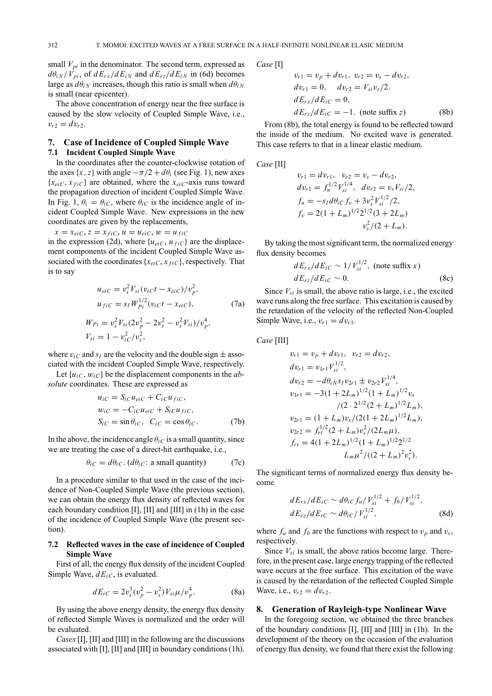small  $V_{pi}$  in the denominator. The second term, expressed as  $d\theta_{iN}/V_{pi}$ , of  $dE_{rx}/dE_{iN}$  and  $dE_{rz}/dE_{iN}$  in (6d) becomes large as  $d\theta_{iN}$  increases, though this ratio is small when  $d\theta_{iN}$ is small (near epicenter).

The above concentration of energy near the free surface is caused by the slow velocity of Coupled Simple Wave, i.e.,  $v_{r2} = dv_{r2}$ .

## **7. Case of Incidence of Coupled Simple Wave 7.1 Incident Coupled Simple Wave**

In the coordinates after the counter-clockwise rotation of the axes  $\{x, z\}$  with angle  $-\pi/2 + d\theta_i$  (see Fig. 1), new axes  ${x_{e iC}, x_{f iC}}$  are obtained, where the  $x_{e iC}$ -axis runs toward the propagation direction of incident Coupled Simple Wave. In Fig. 1,  $\theta_i = \theta_{iC}$ , where  $\theta_{iC}$  is the incidence angle of incident Coupled Simple Wave. New expressions in the new coordinates are given by the replacements,

 $x = x_{eiC}, z = x_{fiC}, u = u_{eiC}, w = u_{fiC}$ 

in the expression (2d), where  $\{u_{eiC}, u_{fiC}\}$  are the displacement components of the incident Coupled Simple Wave associated with the coordinates  ${x_{eiC}$ ,  ${x_{fiC}}$ , respectively. That is to say

$$
u_{eiC} = v_s^2 V_{si}(v_{iC}t - x_{eiC})/v_p^2,
$$
  

$$
u_{fiC} = s_I W_{Pi}^{1/2}(v_{iC}t - x_{eiC}),
$$
 (7a)

$$
W_{Pi} = v_s^2 V_{si} (2v_p^2 - 2v_s^2 - v_s^2 V_{si})/v_p^4,
$$
  
\n
$$
V_{si} = 1 - v_{iC}^2/v_s^2,
$$

where  $v_{iC}$  and  $s_I$  are the velocity and the double sign  $\pm$  associated with the incident Coupled Simple Wave, respectively.

Let  $\{u_{iC}, w_{iC}\}$  be the displacement components in the *absolute* coordinates. These are expressed as

$$
u_{iC} = S_{iC}u_{eiC} + C_{iC}u_{fic},
$$
  
\n
$$
w_{iC} = -C_{iC}u_{eiC} + S_{iC}u_{fic},
$$
  
\n
$$
S_{iC} = \sin\theta_{iC}, \quad C_{iC} = \cos\theta_{iC}.
$$
  
\n(7b)

In the above, the incidence angle  $\theta_{iC}$  is a small quantity, since we are treating the case of a direct-hit earthquake, i.e.,

$$
\theta_{iC} = d\theta_{iC}. (d\theta_{iC}: \text{ a small quantity}) \tag{7c}
$$

In a procedure similar to that used in the case of the incidence of Non-Coupled Simple Wave (the previous section), we can obtain the energy flux density of reflected waves for each boundary condition [I], [II] and [III] in (1h) in the case of the incidence of Coupled Simple Wave (the present section).

### **7.2 Reflected waves in the case of incidence of Coupled Simple Wave**

First of all, the energy flux density of the incident Coupled Simple Wave, *d EiC*, is evaluated.

$$
dE_{iC} = 2v_s^3(v_p^2 - v_s^2)V_{si}\mu/v_p^4.
$$
 (8a)

By using the above energy density, the energy flux density of reflected Simple Waves is normalized and the order will be evaluated.

*Cases* [I], [II] and [III] in the following are the discussions associated with [I], [II] and [III] in boundary conditions (1h).

*Case* [I]

$$
v_{r1} = v_p + dv_{r1}, v_{r2} = v_s - dv_{r2},
$$
  
\n
$$
dv_{r1} = 0, dv_{r2} = V_{si}v_s/2.
$$
  
\n
$$
dE_{rx}/dE_{iC} = 0,
$$
  
\n
$$
dE_{rz}/dE_{iC} = -1. \text{ (note suffix } z)
$$
 (8b)

From (8b), the total energy is found to be reflected toward the inside of the medium. No excited wave is generated. This case referrs to that in a linear elastic medium.

*Case* [II]

$$
v_{r1} = dv_{r1}, \quad v_{r2} = v_s - dv_{r2},
$$
  
\n
$$
dv_{r1} = f_n^{1/2} V_{si}^{1/4}, \quad dv_{r2} = v_s V_{si}/2,
$$
  
\n
$$
f_n = -s_I d\theta_{iC} f_v + 3v_s^2 V_{si}^{1/2}/2,
$$
  
\n
$$
f_v = 2(1 + L_m)^{1/2} 2^{1/2} (3 + 2L_m)
$$
  
\n
$$
v_s^2 / (2 + L_m).
$$

By taking the most significant term, the normalized energy flux density becomes

$$
dE_{rx}/dE_{iC} \sim 1/V_{si}^{1/2}, \text{ (note suffix } x)
$$
  

$$
dE_{rz}/dE_{iC} \sim 0.
$$
 (8c)

Since  $V_{si}$  is small, the above ratio is large, i.e., the excited wave runs along the free surface. This excitation is caused by the retardation of the velocity of the reflected Non-Coupled Simple Wave, i.e.,  $v_{r1} = dv_{r1}$ .

*Case* [III]

$$
v_{r1} = v_p + dv_{r1}, v_{r2} = dv_{r2},
$$
  
\n
$$
dv_{r1} = v_{1r1}V_{si}^{1/2},
$$
  
\n
$$
dv_{r2} = -d\theta_{iN}s_{1}v_{2r1} \pm v_{2r2}V_{si}^{1/4},
$$
  
\n
$$
v_{1r1} = -3(1 + 2L_m)^{1/2}(1 + L_m)^{1/2}v_s
$$
  
\n
$$
/(2 \cdot 2^{1/2}(2 + L_m)^{1/2}L_m),
$$
  
\n
$$
v_{2r1} = (1 + L_m)v_s/(2(1 + 2L_m)^{1/2}L_m),
$$
  
\n
$$
v_{2r2} = f_{rt}^{1/2}(2 + L_m)v_s^2/(2L_m\mu),
$$
  
\n
$$
f_{rt} = 4(1 + 2L_m)^{1/2}(1 + L_m)^{1/2}2^{1/2}
$$
  
\n
$$
L_m\mu^2/((2 + L_m)^2v_s^2).
$$

The significant terms of normalized energy flux density become

$$
dE_{rx}/dE_{iC} \sim d\theta_{iC} f_a/V_{si}^{1/2} + f_b/V_{si}^{1/2},
$$
  

$$
dE_{rz}/dE_{iC} \sim d\theta_{iC}/V_{si}^{1/2},
$$
 (8d)

where  $f_a$  and  $f_b$  are the functions with respect to  $v_p$  and  $v_s$ , respectively.

Since  $V_{si}$  is small, the above ratios become large. Therefore, in the present case, large energy trapping of the reflected wave occurs at the free surface. This excitation of the wave is caused by the retardation of the reflected Coupled Simple Wave, i.e.,  $v_{r2} = dv_{r2}$ .

## **8. Generation of Rayleigh-type Nonlinear Wave**

In the foregoing section, we obtained the three branches of the boundary conditions [I], [II] and [III] in (1h). In the development of the theory on the occasion of the evaluation of energy flux density, we found that there exist the following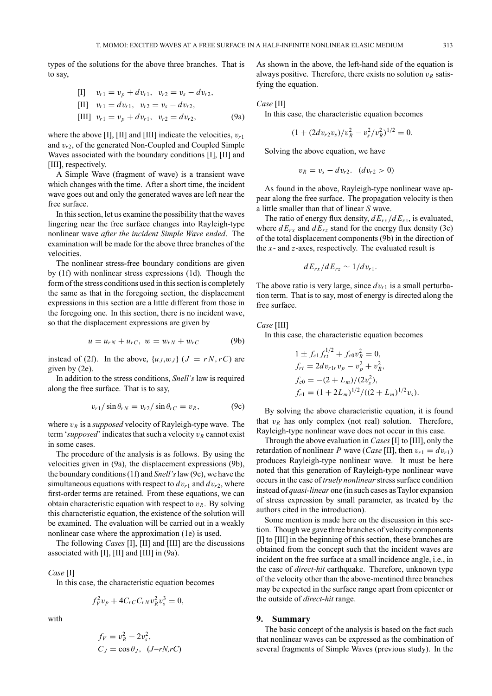types of the solutions for the above three branches. That is to say,

$$
\begin{aligned}\n\text{[I]} \quad & v_{r1} = v_p + dv_{r1}, \quad v_{r2} = v_s - dv_{r2}, \\
\text{[II]} \quad & v_{r1} = dv_{r1}, \quad v_{r2} = v_s - dv_{r2}, \\
\text{[III]} \quad & v_{r1} = v_p + dv_{r1}, \quad v_{r2} = dv_{r2},\n\end{aligned}\n\tag{9a}
$$

where the above [I], [II] and [III] indicate the velocities,  $v_{r1}$ and v*r*2, of the generated Non-Coupled and Coupled Simple Waves associated with the boundary conditions [I], [II] and [III], respectively.

A Simple Wave (fragment of wave) is a transient wave which changes with the time. After a short time, the incident wave goes out and only the generated waves are left near the free surface.

In this section, let us examine the possibility that the waves lingering near the free surface changes into Rayleigh-type nonlinear wave *after the incident Simple Wave ended*. The examination will be made for the above three branches of the velocities.

The nonlinear stress-free boundary conditions are given by (1f) with nonlinear stress expressions (1d). Though the form of the stress conditions used in this section is completely the same as that in the foregoing section, the displacement expressions in this section are a little different from those in the foregoing one. In this section, there is no incident wave, so that the displacement expressions are given by

$$
u = u_{rN} + u_{rC}, \ w = w_{rN} + w_{rC}
$$
 (9b)

instead of (2f). In the above,  $\{u_J, w_J\}$  ( $J = rN, rC$ ) are given by (2e).

In addition to the stress conditions, *Snell's* law is required along the free surface. That is to say,

$$
v_{r1}/\sin\theta_{rN} = v_{r2}/\sin\theta_{rC} = v_R, \qquad (9c)
$$

where  $v_R$  is a *supposed* velocity of Rayleigh-type wave. The term '*supposed*' indicates that such a velocity  $v_R$  cannot exist in some cases.

The procedure of the analysis is as follows. By using the velocities given in (9a), the displacement expressions (9b), the boundary conditions (1f) and *Snell's*law (9c), we have the simultaneous equations with respect to  $dv_{r1}$  and  $dv_{r2}$ , where first-order terms are retained. From these equations, we can obtain characteristic equation with respect to  $v_R$ . By solving this characteristic equation, the existence of the solution will be examined. The evaluation will be carried out in a weakly nonlinear case where the approximation (1e) is used.

The following *Cases* [I], [II] and [III] are the discussions associated with [I], [II] and [III] in (9a).

*Case* [I]

In this case, the characteristic equation becomes

$$
f_V^2 v_p + 4C_{rC}C_{rN} v_R^2 v_s^3 = 0,
$$

with

$$
f_V = v_R^2 - 2v_s^2,
$$
  
\n
$$
C_J = \cos \theta_J, \quad (J=rN, rC)
$$

As shown in the above, the left-hand side of the equation is always positive. Therefore, there exists no solution  $v_R$  satisfying the equation.

### *Case* [II]

In this case, the characteristic equation becomes

$$
(1+(2dv_{r2}v_s)/v_R^2-v_s^2/v_R^2)^{1/2}=0.
$$

Solving the above equation, we have

$$
v_R = v_s - dv_{r2}. \quad (dv_{r2} > 0)
$$

As found in the above, Rayleigh-type nonlinear wave appear along the free surface. The propagation velocity is then a little smaller than that of linear *S* wave.

The ratio of energy flux density,  $dE_{rx}/dE_{rz}$ , is evaluated, where  $dE_{rx}$  and  $dE_{rz}$  stand for the energy flux density (3c) of the total displacement components (9b) in the direction of the *x*- and *z*-axes, respectively. The evaluated result is

$$
dE_{rx}/dE_{rz} \sim 1/dv_{r1}.
$$

The above ratio is very large, since  $dv_{r1}$  is a small perturbation term. That is to say, most of energy is directed along the free surface.

*Case* [III]

In this case, the characteristic equation becomes

$$
1 \pm f_{c1} f_{rt}^{1/2} + f_{c0} v_R^2 = 0,
$$
  
\n
$$
f_{rt} = 2dv_{r1r}v_p - v_p^2 + v_R^2,
$$
  
\n
$$
f_{c0} = -(2 + L_m)/(2v_s^2),
$$
  
\n
$$
f_{c1} = (1 + 2L_m)^{1/2}/((2 + L_m)^{1/2}v_s).
$$

By solving the above characteristic equation, it is found that  $v_R$  has only complex (not real) solution. Therefore, Rayleigh-type nonlinear wave does not occur in this case.

Through the above evaluation in *Cases*[I] to [III], only the retardation of nonlinear *P* wave (*Case* [II], then  $v_{r1} = dv_{r1}$ ) produces Rayleigh-type nonlinear wave. It must be here noted that this generation of Rayleigh-type nonlinear wave occurs in the case of *truely nonlinear*stress surface condition instead of *quasi-linear* one (in such cases as Taylor expansion of stress expression by small parameter, as treated by the authors cited in the introduction).

Some mention is made here on the discussion in this section. Though we gave three branches of velocity components [I] to [III] in the beginning of this section, these branches are obtained from the concept such that the incident waves are incident on the free surface at a small incidence angle, i.e., in the case of *direct-hit* earthquake. Therefore, unknown type of the velocity other than the above-mentined three branches may be expected in the surface range apart from epicenter or the outside of *direct-hit* range.

### **9. Summary**

The basic concept of the analysis is based on the fact such that nonlinear waves can be expressed as the combination of several fragments of Simple Waves (previous study). In the